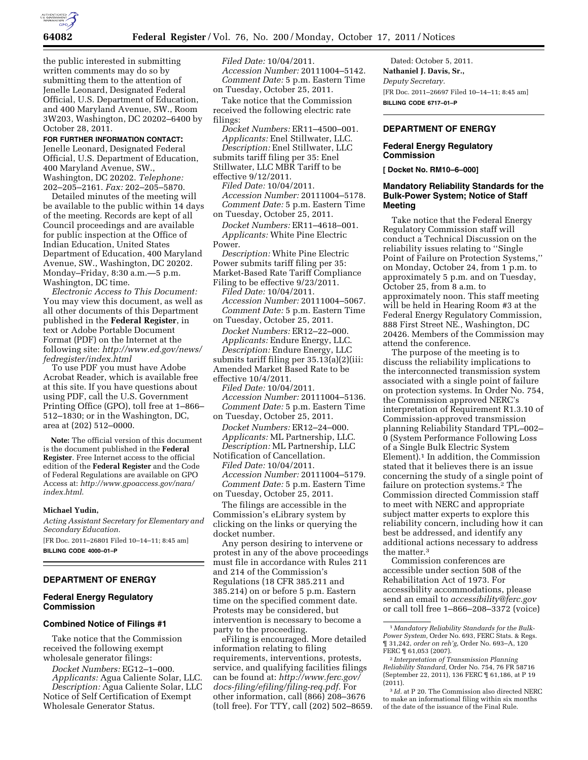

the public interested in submitting written comments may do so by submitting them to the attention of Jenelle Leonard, Designated Federal Official, U.S. Department of Education, and 400 Maryland Avenue, SW., Room 3W203, Washington, DC 20202–6400 by October 28, 2011.

## **FOR FURTHER INFORMATION CONTACT:**

Jenelle Leonard, Designated Federal Official, U.S. Department of Education, 400 Maryland Avenue, SW., Washington, DC 20202. *Telephone:*  202–205–2161. *Fax:* 202–205–5870.

Detailed minutes of the meeting will be available to the public within 14 days of the meeting. Records are kept of all Council proceedings and are available for public inspection at the Office of Indian Education, United States Department of Education, 400 Maryland Avenue, SW., Washington, DC 20202. Monday–Friday, 8:30 a.m.—5 p.m. Washington, DC time.

*Electronic Access to This Document:*  You may view this document, as well as all other documents of this Department published in the **Federal Register**, in text or Adobe Portable Document Format (PDF) on the Internet at the following site: *[http://www.ed.gov/news/](http://www.ed.gov/news/fedregister/index.html) [fedregister/index.html](http://www.ed.gov/news/fedregister/index.html)* 

To use PDF you must have Adobe Acrobat Reader, which is available free at this site. If you have questions about using PDF, call the U.S. Government Printing Office (GPO), toll free at 1–866– 512–1830; or in the Washington, DC, area at (202) 512–0000.

**Note:** The official version of this document is the document published in the **Federal Register**. Free Internet access to the official edition of the **Federal Register** and the Code of Federal Regulations are available on GPO Access at: *[http://www.gpoaccess.gov/nara/](http://www.gpoaccess.gov/nara/index.html) [index.html](http://www.gpoaccess.gov/nara/index.html)*.

#### **Michael Yudin,**

*Acting Assistant Secretary for Elementary and Secondary Education.* 

[FR Doc. 2011–26801 Filed 10–14–11; 8:45 am] **BILLING CODE 4000–01–P** 

#### **DEPARTMENT OF ENERGY**

### **Federal Energy Regulatory Commission**

### **Combined Notice of Filings #1**

Take notice that the Commission received the following exempt wholesale generator filings:

*Docket Numbers:* EG12–1–000. *Applicants:* Agua Caliente Solar, LLC. *Description:* Agua Caliente Solar, LLC Notice of Self Certification of Exempt Wholesale Generator Status.

*Filed Date:* 10/04/2011. *Accession Number:* 20111004–5142. *Comment Date:* 5 p.m. Eastern Time on Tuesday, October 25, 2011.

Take notice that the Commission received the following electric rate filings:

*Docket Numbers:* ER11–4500–001. *Applicants:* Enel Stillwater, LLC. *Description:* Enel Stillwater, LLC submits tariff filing per 35: Enel Stillwater, LLC MBR Tariff to be effective 9/12/2011.

*Filed Date:* 10/04/2011. *Accession Number:* 20111004–5178. *Comment Date:* 5 p.m. Eastern Time on Tuesday, October 25, 2011.

*Docket Numbers:* ER11–4618–001. *Applicants:* White Pine Electric Power.

*Description:* White Pine Electric Power submits tariff filing per 35: Market-Based Rate Tariff Compliance Filing to be effective 9/23/2011.

*Filed Date:* 10/04/2011. *Accession Number:* 20111004–5067. *Comment Date:* 5 p.m. Eastern Time on Tuesday, October 25, 2011.

*Docket Numbers:* ER12–22–000. *Applicants:* Endure Energy, LLC. *Description:* Endure Energy, LLC submits tariff filing per 35.13(a)(2)(iii: Amended Market Based Rate to be

effective 10/4/2011. *Filed Date:* 10/04/2011. *Accession Number:* 20111004–5136. *Comment Date:* 5 p.m. Eastern Time on Tuesday, October 25, 2011.

*Docket Numbers:* ER12–24–000. *Applicants:* ML Partnership, LLC. *Description:* ML Partnership, LLC

Notification of Cancellation. *Filed Date:* 10/04/2011. *Accession Number:* 20111004–5179. *Comment Date:* 5 p.m. Eastern Time on Tuesday, October 25, 2011.

The filings are accessible in the Commission's eLibrary system by clicking on the links or querying the docket number.

Any person desiring to intervene or protest in any of the above proceedings must file in accordance with Rules 211 and 214 of the Commission's Regulations (18 CFR 385.211 and 385.214) on or before 5 p.m. Eastern time on the specified comment date. Protests may be considered, but intervention is necessary to become a party to the proceeding.

eFiling is encouraged. More detailed information relating to filing requirements, interventions, protests, service, and qualifying facilities filings can be found at: *[http://www.ferc.gov/](http://www.ferc.gov/docs-filing/efiling/filing-req.pdf)  [docs-filing/efiling/filing-req.pdf.](http://www.ferc.gov/docs-filing/efiling/filing-req.pdf)* For other information, call (866) 208–3676 (toll free). For TTY, call (202) 502–8659.

Dated: October 5, 2011. **Nathaniel J. Davis, Sr.,**  *Deputy Secretary.*  [FR Doc. 2011–26697 Filed 10–14–11; 8:45 am] **BILLING CODE 6717–01–P** 

#### **DEPARTMENT OF ENERGY**

#### **Federal Energy Regulatory Commission**

**[ Docket No. RM10–6–000]** 

### **Mandatory Reliability Standards for the Bulk-Power System; Notice of Staff Meeting**

Take notice that the Federal Energy Regulatory Commission staff will conduct a Technical Discussion on the reliability issues relating to ''Single Point of Failure on Protection Systems,'' on Monday, October 24, from 1 p.m. to approximately 5 p.m. and on Tuesday, October 25, from 8 a.m. to approximately noon. This staff meeting will be held in Hearing Room #3 at the Federal Energy Regulatory Commission, 888 First Street NE., Washington, DC 20426. Members of the Commission may attend the conference.

The purpose of the meeting is to discuss the reliability implications to the interconnected transmission system associated with a single point of failure on protection systems. In Order No. 754, the Commission approved NERC's interpretation of Requirement R1.3.10 of Commission-approved transmission planning Reliability Standard TPL–002– 0 (System Performance Following Loss of a Single Bulk Electric System Element).1 In addition, the Commission stated that it believes there is an issue concerning the study of a single point of failure on protection systems.2 The Commission directed Commission staff to meet with NERC and appropriate subject matter experts to explore this reliability concern, including how it can best be addressed, and identify any additional actions necessary to address the matter.3

Commission conferences are accessible under section 508 of the Rehabilitation Act of 1973. For accessibility accommodations, please send an email to *[accessibility@ferc.gov](mailto:accessibility@ferc.gov)*  or call toll free 1–866–208–3372 (voice)

<sup>1</sup> *Mandatory Reliability Standards for the Bulk-Power System,* Order No. 693, FERC Stats. & Regs. ¶ 31,242, *order on reh'g,* Order No. 693–A, 120 FERC ¶ 61,053 (2007).

<sup>2</sup> *Interpretation of Transmission Planning Reliability Standard,* Order No. 754, 76 FR 58716 (September 22, 2011), 136 FERC ¶ 61,186, at P 19 (2011).

<sup>3</sup> *Id.* at P 20. The Commission also directed NERC to make an informational filing within six months of the date of the issuance of the Final Rule.